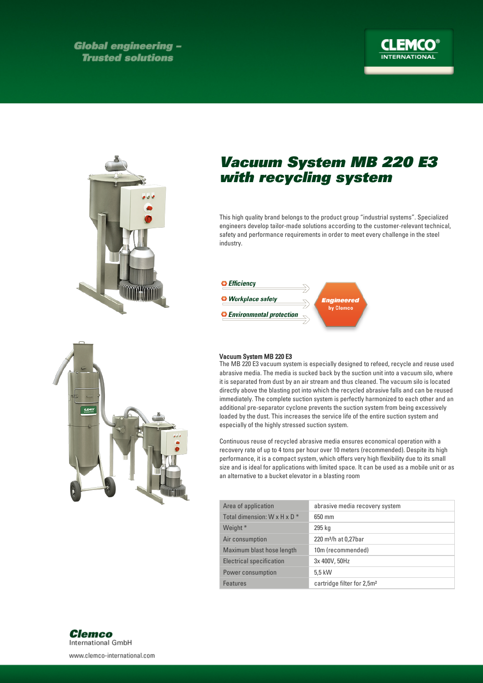**Global engineering -Trusted solutions** 





## Vacuum System MB 220 E3 with recycling system

This high quality brand belongs to the product group "industrial systems". Specialized engineers develop tailor-made solutions according to the customer-relevant technical, safety and performance requirements in order to meet every challenge in the steel industry.



## Vacuum System MB 220 E3

The MB 220 E3 vacuum system is especially designed to refeed, recycle and reuse used abrasive media. The media is sucked back by the suction unit into a vacuum silo, where it is separated from dust by an air stream and thus cleaned. The vacuum silo is located directly above the blasting pot into which the recycled abrasive falls and can be reused immediately. The complete suction system is perfectly harmonized to each other and an additional pre-separator cyclone prevents the suction system from being excessively loaded by the dust. This increases the service life of the entire suction system and especially of the highly stressed suction system.

Continuous reuse of recycled abrasive media ensures economical operation with a recovery rate of up to 4 tons per hour over 10 meters (recommended). Despite its high performance, it is a compact system, which offers very high flexibility due to its small size and is ideal for applications with limited space. It can be used as a mobile unit or as an alternative to a bucket elevator in a blasting room

| Area of application                      | abrasive media recovery system         |
|------------------------------------------|----------------------------------------|
| Total dimension: $W \times H \times D^*$ | 650 mm                                 |
| Weight *                                 | 295 kg                                 |
| Air consumption                          | 220 m <sup>3</sup> /h at 0,27bar       |
| Maximum blast hose length                | 10m (recommended)                      |
| Electrical specification                 | 3x 400V, 50Hz                          |
| Power consumption                        | 5.5 kW                                 |
| <b>Features</b>                          | cartridge filter for 2,5m <sup>2</sup> |





www.clemco-international.com